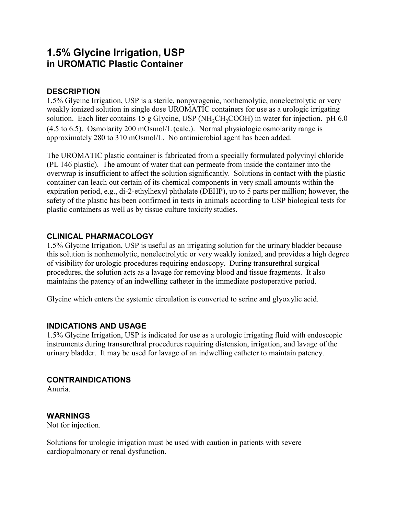# **1.5% Glycine Irrigation, USP in UROMATIC Plastic Container**

# **DESCRIPTION**

1.5% Glycine Irrigation, USP is a sterile, nonpyrogenic, nonhemolytic, nonelectrolytic or very weakly ionized solution in single dose UROMATIC containers for use as a urologic irrigating solution. Each liter contains 15 g Glycine, USP (NH<sub>2</sub>CH<sub>2</sub>COOH) in water for injection. pH 6.0 (4.5 to 6.5). Osmolarity 200 mOsmol/L (calc.). Normal physiologic osmolarity range is approximately 280 to 310 mOsmol/L. No antimicrobial agent has been added.

The UROMATIC plastic container is fabricated from a specially formulated polyvinyl chloride (PL 146 plastic). The amount of water that can permeate from inside the container into the overwrap is insufficient to affect the solution significantly. Solutions in contact with the plastic container can leach out certain of its chemical components in very small amounts within the expiration period, e.g., di-2-ethylhexyl phthalate (DEHP), up to 5 parts per million; however, the safety of the plastic has been confirmed in tests in animals according to USP biological tests for plastic containers as well as by tissue culture toxicity studies.

# **CLINICAL PHARMACOLOGY**

1.5% Glycine Irrigation, USP is useful as an irrigating solution for the urinary bladder because this solution is nonhemolytic, nonelectrolytic or very weakly ionized, and provides a high degree of visibility for urologic procedures requiring endoscopy. During transurethral surgical procedures, the solution acts as a lavage for removing blood and tissue fragments. It also maintains the patency of an indwelling catheter in the immediate postoperative period.

Glycine which enters the systemic circulation is converted to serine and glyoxylic acid.

### **INDICATIONS AND USAGE**

1.5% Glycine Irrigation, USP is indicated for use as a urologic irrigating fluid with endoscopic instruments during transurethral procedures requiring distension, irrigation, and lavage of the urinary bladder. It may be used for lavage of an indwelling catheter to maintain patency.

### **CONTRAINDICATIONS**

Anuria.

# **WARNINGS**

Not for injection.

Solutions for urologic irrigation must be used with caution in patients with severe cardiopulmonary or renal dysfunction.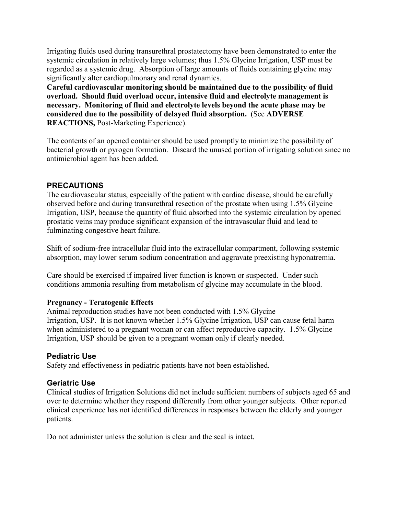Irrigating fluids used during transurethral prostatectomy have been demonstrated to enter the systemic circulation in relatively large volumes; thus 1.5% Glycine Irrigation, USP must be regarded as a systemic drug. Absorption of large amounts of fluids containing glycine may significantly alter cardiopulmonary and renal dynamics.

**Careful cardiovascular monitoring should be maintained due to the possibility of fluid overload. Should fluid overload occur, intensive fluid and electrolyte management is necessary. Monitoring of fluid and electrolyte levels beyond the acute phase may be considered due to the possibility of delayed fluid absorption.** (See **ADVERSE REACTIONS,** Post-Marketing Experience).

The contents of an opened container should be used promptly to minimize the possibility of bacterial growth or pyrogen formation. Discard the unused portion of irrigating solution since no antimicrobial agent has been added.

#### **PRECAUTIONS**

The cardiovascular status, especially of the patient with cardiac disease, should be carefully observed before and during transurethral resection of the prostate when using 1.5% Glycine Irrigation, USP, because the quantity of fluid absorbed into the systemic circulation by opened prostatic veins may produce significant expansion of the intravascular fluid and lead to fulminating congestive heart failure.

Shift of sodium-free intracellular fluid into the extracellular compartment, following systemic absorption, may lower serum sodium concentration and aggravate preexisting hyponatremia.

Care should be exercised if impaired liver function is known or suspected. Under such conditions ammonia resulting from metabolism of glycine may accumulate in the blood.

#### **Pregnancy - Teratogenic Effects**

Animal reproduction studies have not been conducted with 1.5% Glycine Irrigation, USP. It is not known whether 1.5% Glycine Irrigation, USP can cause fetal harm when administered to a pregnant woman or can affect reproductive capacity. 1.5% Glycine Irrigation, USP should be given to a pregnant woman only if clearly needed.

### **Pediatric Use**

Safety and effectiveness in pediatric patients have not been established.

### **Geriatric Use**

Clinical studies of Irrigation Solutions did not include sufficient numbers of subjects aged 65 and over to determine whether they respond differently from other younger subjects. Other reported clinical experience has not identified differences in responses between the elderly and younger patients.

Do not administer unless the solution is clear and the seal is intact.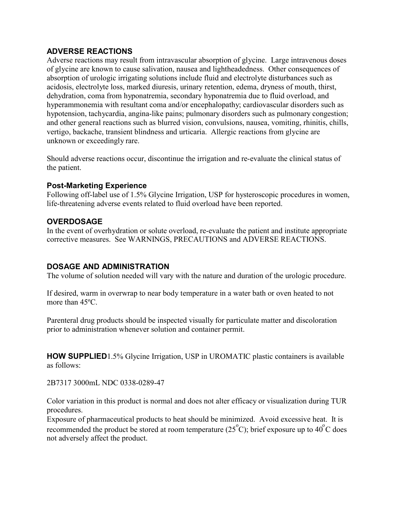## **ADVERSE REACTIONS**

Adverse reactions may result from intravascular absorption of glycine. Large intravenous doses of glycine are known to cause salivation, nausea and lightheadedness. Other consequences of absorption of urologic irrigating solutions include fluid and electrolyte disturbances such as acidosis, electrolyte loss, marked diuresis, urinary retention, edema, dryness of mouth, thirst, dehydration, coma from hyponatremia, secondary hyponatremia due to fluid overload, and hyperammonemia with resultant coma and/or encephalopathy; cardiovascular disorders such as hypotension, tachycardia, angina-like pains; pulmonary disorders such as pulmonary congestion; and other general reactions such as blurred vision, convulsions, nausea, vomiting, rhinitis, chills, vertigo, backache, transient blindness and urticaria. Allergic reactions from glycine are unknown or exceedingly rare.

Should adverse reactions occur, discontinue the irrigation and re-evaluate the clinical status of the patient.

### **Post-Marketing Experience**

Following off-label use of 1.5% Glycine Irrigation, USP for hysteroscopic procedures in women, life-threatening adverse events related to fluid overload have been reported.

# **OVERDOSAGE**

In the event of overhydration or solute overload, re-evaluate the patient and institute appropriate corrective measures. See WARNINGS, PRECAUTIONS and ADVERSE REACTIONS.

# **DOSAGE AND ADMINISTRATION**

The volume of solution needed will vary with the nature and duration of the urologic procedure.

If desired, warm in overwrap to near body temperature in a water bath or oven heated to not more than 45ºC.

Parenteral drug products should be inspected visually for particulate matter and discoloration prior to administration whenever solution and container permit.

**HOW SUPPLIED**1.5% Glycine Irrigation, USP in UROMATIC plastic containers is available as follows:

2B7317 3000mL NDC 0338-0289-47

Color variation in this product is normal and does not alter efficacy or visualization during TUR procedures.

Exposure of pharmaceutical products to heat should be minimized. Avoid excessive heat. It is recommended the product be stored at room temperature  $(25^{\circ}C)$ ; brief exposure up to 40 $^{\circ}C$  does not adversely affect the product.